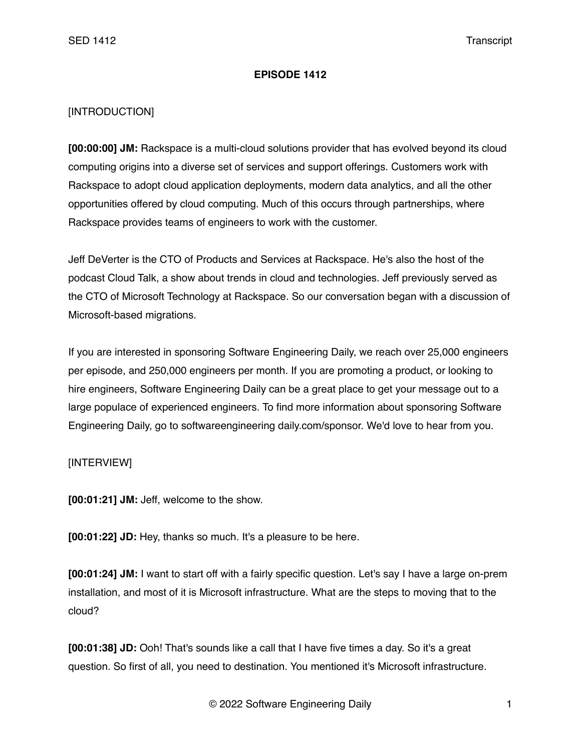## **EPISODE 1412**

## [INTRODUCTION]

**[00:00:00] JM:** Rackspace is a multi-cloud solutions provider that has evolved beyond its cloud computing origins into a diverse set of services and support offerings. Customers work with Rackspace to adopt cloud application deployments, modern data analytics, and all the other opportunities offered by cloud computing. Much of this occurs through partnerships, where Rackspace provides teams of engineers to work with the customer.

Jeff DeVerter is the CTO of Products and Services at Rackspace. He's also the host of the podcast Cloud Talk, a show about trends in cloud and technologies. Jeff previously served as the CTO of Microsoft Technology at Rackspace. So our conversation began with a discussion of Microsoft-based migrations.

If you are interested in sponsoring Software Engineering Daily, we reach over 25,000 engineers per episode, and 250,000 engineers per month. If you are promoting a product, or looking to hire engineers, Software Engineering Daily can be a great place to get your message out to a large populace of experienced engineers. To find more information about sponsoring Software Engineering Daily, go to softwareengineering daily.com/sponsor. We'd love to hear from you.

## [INTERVIEW]

**[00:01:21] JM:** Jeff, welcome to the show.

**[00:01:22] JD:** Hey, thanks so much. It's a pleasure to be here.

**[00:01:24] JM:** I want to start off with a fairly specific question. Let's say I have a large on-prem installation, and most of it is Microsoft infrastructure. What are the steps to moving that to the cloud?

**[00:01:38] JD:** Ooh! That's sounds like a call that I have five times a day. So it's a great question. So first of all, you need to destination. You mentioned it's Microsoft infrastructure.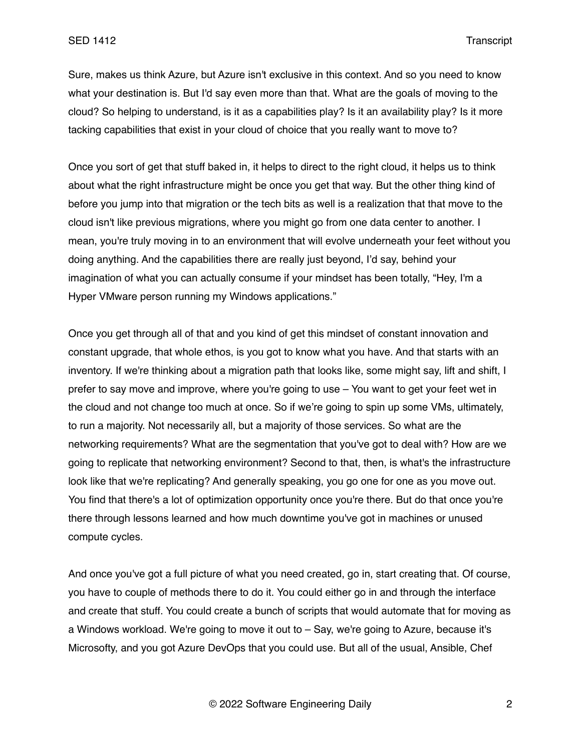Sure, makes us think Azure, but Azure isn't exclusive in this context. And so you need to know what your destination is. But I'd say even more than that. What are the goals of moving to the cloud? So helping to understand, is it as a capabilities play? Is it an availability play? Is it more tacking capabilities that exist in your cloud of choice that you really want to move to?

Once you sort of get that stuff baked in, it helps to direct to the right cloud, it helps us to think about what the right infrastructure might be once you get that way. But the other thing kind of before you jump into that migration or the tech bits as well is a realization that that move to the cloud isn't like previous migrations, where you might go from one data center to another. I mean, you're truly moving in to an environment that will evolve underneath your feet without you doing anything. And the capabilities there are really just beyond, I'd say, behind your imagination of what you can actually consume if your mindset has been totally, "Hey, I'm a Hyper VMware person running my Windows applications."

Once you get through all of that and you kind of get this mindset of constant innovation and constant upgrade, that whole ethos, is you got to know what you have. And that starts with an inventory. If we're thinking about a migration path that looks like, some might say, lift and shift, I prefer to say move and improve, where you're going to use – You want to get your feet wet in the cloud and not change too much at once. So if we're going to spin up some VMs, ultimately, to run a majority. Not necessarily all, but a majority of those services. So what are the networking requirements? What are the segmentation that you've got to deal with? How are we going to replicate that networking environment? Second to that, then, is what's the infrastructure look like that we're replicating? And generally speaking, you go one for one as you move out. You find that there's a lot of optimization opportunity once you're there. But do that once you're there through lessons learned and how much downtime you've got in machines or unused compute cycles.

And once you've got a full picture of what you need created, go in, start creating that. Of course, you have to couple of methods there to do it. You could either go in and through the interface and create that stuff. You could create a bunch of scripts that would automate that for moving as a Windows workload. We're going to move it out to – Say, we're going to Azure, because it's Microsofty, and you got Azure DevOps that you could use. But all of the usual, Ansible, Chef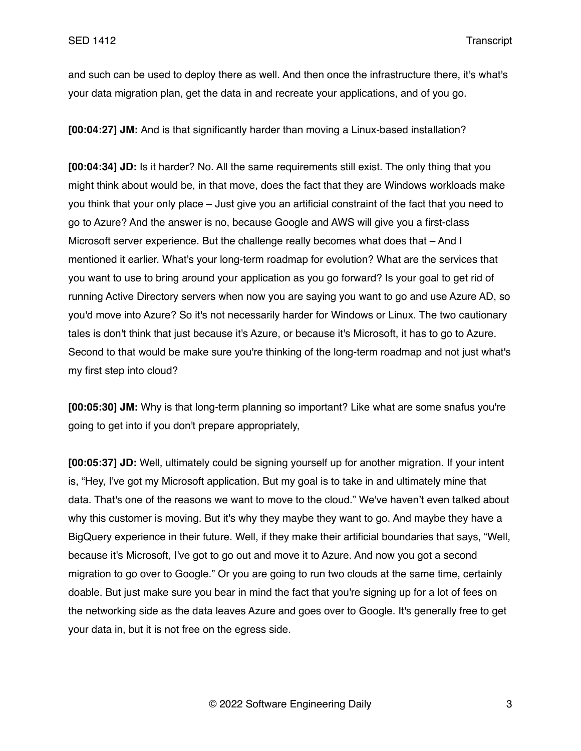and such can be used to deploy there as well. And then once the infrastructure there, it's what's your data migration plan, get the data in and recreate your applications, and of you go.

**[00:04:27] JM:** And is that significantly harder than moving a Linux-based installation?

**[00:04:34] JD:** Is it harder? No. All the same requirements still exist. The only thing that you might think about would be, in that move, does the fact that they are Windows workloads make you think that your only place – Just give you an artificial constraint of the fact that you need to go to Azure? And the answer is no, because Google and AWS will give you a first-class Microsoft server experience. But the challenge really becomes what does that – And I mentioned it earlier. What's your long-term roadmap for evolution? What are the services that you want to use to bring around your application as you go forward? Is your goal to get rid of running Active Directory servers when now you are saying you want to go and use Azure AD, so you'd move into Azure? So it's not necessarily harder for Windows or Linux. The two cautionary tales is don't think that just because it's Azure, or because it's Microsoft, it has to go to Azure. Second to that would be make sure you're thinking of the long-term roadmap and not just what's my first step into cloud?

**[00:05:30] JM:** Why is that long-term planning so important? Like what are some snafus you're going to get into if you don't prepare appropriately,

**[00:05:37] JD:** Well, ultimately could be signing yourself up for another migration. If your intent is, "Hey, I've got my Microsoft application. But my goal is to take in and ultimately mine that data. That's one of the reasons we want to move to the cloud." We've haven't even talked about why this customer is moving. But it's why they maybe they want to go. And maybe they have a BigQuery experience in their future. Well, if they make their artificial boundaries that says, "Well, because it's Microsoft, I've got to go out and move it to Azure. And now you got a second migration to go over to Google." Or you are going to run two clouds at the same time, certainly doable. But just make sure you bear in mind the fact that you're signing up for a lot of fees on the networking side as the data leaves Azure and goes over to Google. It's generally free to get your data in, but it is not free on the egress side.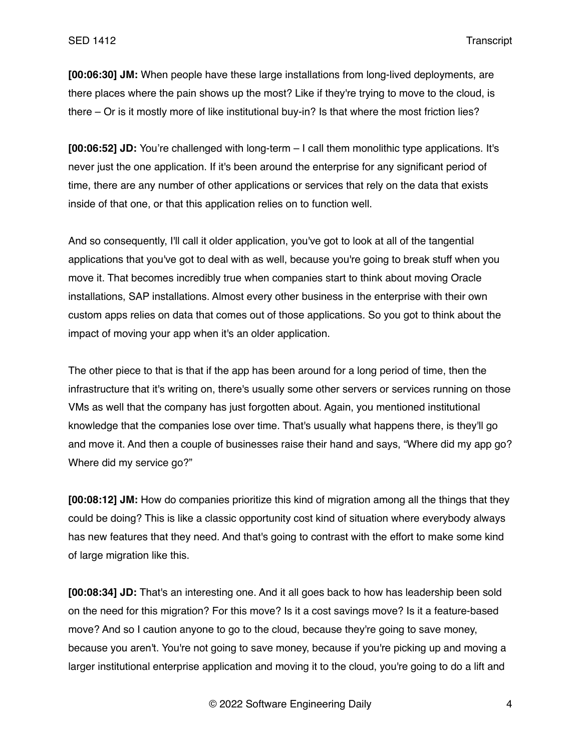**[00:06:30] JM:** When people have these large installations from long-lived deployments, are there places where the pain shows up the most? Like if they're trying to move to the cloud, is there – Or is it mostly more of like institutional buy-in? Is that where the most friction lies?

**[00:06:52] JD:** You're challenged with long-term – I call them monolithic type applications. It's never just the one application. If it's been around the enterprise for any significant period of time, there are any number of other applications or services that rely on the data that exists inside of that one, or that this application relies on to function well.

And so consequently, I'll call it older application, you've got to look at all of the tangential applications that you've got to deal with as well, because you're going to break stuff when you move it. That becomes incredibly true when companies start to think about moving Oracle installations, SAP installations. Almost every other business in the enterprise with their own custom apps relies on data that comes out of those applications. So you got to think about the impact of moving your app when it's an older application.

The other piece to that is that if the app has been around for a long period of time, then the infrastructure that it's writing on, there's usually some other servers or services running on those VMs as well that the company has just forgotten about. Again, you mentioned institutional knowledge that the companies lose over time. That's usually what happens there, is they'll go and move it. And then a couple of businesses raise their hand and says, "Where did my app go? Where did my service go?"

**[00:08:12] JM:** How do companies prioritize this kind of migration among all the things that they could be doing? This is like a classic opportunity cost kind of situation where everybody always has new features that they need. And that's going to contrast with the effort to make some kind of large migration like this.

**[00:08:34] JD:** That's an interesting one. And it all goes back to how has leadership been sold on the need for this migration? For this move? Is it a cost savings move? Is it a feature-based move? And so I caution anyone to go to the cloud, because they're going to save money, because you aren't. You're not going to save money, because if you're picking up and moving a larger institutional enterprise application and moving it to the cloud, you're going to do a lift and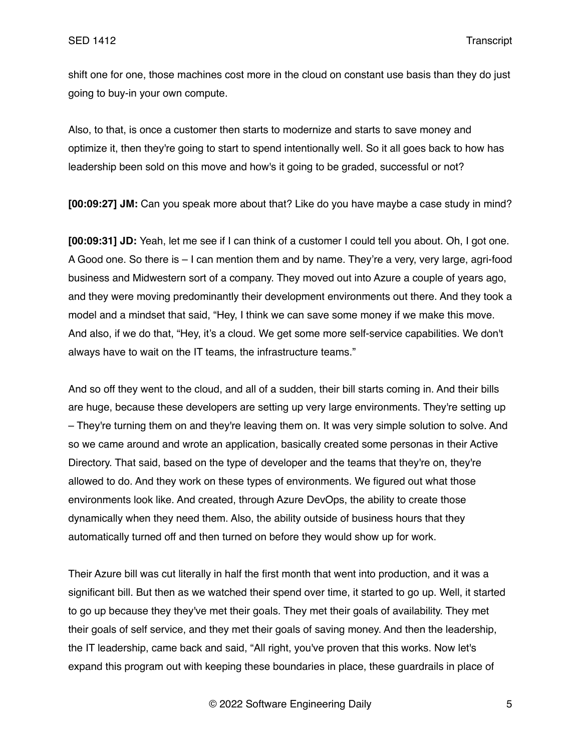shift one for one, those machines cost more in the cloud on constant use basis than they do just going to buy-in your own compute.

Also, to that, is once a customer then starts to modernize and starts to save money and optimize it, then they're going to start to spend intentionally well. So it all goes back to how has leadership been sold on this move and how's it going to be graded, successful or not?

**[00:09:27] JM:** Can you speak more about that? Like do you have maybe a case study in mind?

**[00:09:31] JD:** Yeah, let me see if I can think of a customer I could tell you about. Oh, I got one. A Good one. So there is – I can mention them and by name. They're a very, very large, agri-food business and Midwestern sort of a company. They moved out into Azure a couple of years ago, and they were moving predominantly their development environments out there. And they took a model and a mindset that said, "Hey, I think we can save some money if we make this move. And also, if we do that, "Hey, it's a cloud. We get some more self-service capabilities. We don't always have to wait on the IT teams, the infrastructure teams."

And so off they went to the cloud, and all of a sudden, their bill starts coming in. And their bills are huge, because these developers are setting up very large environments. They're setting up – They're turning them on and they're leaving them on. It was very simple solution to solve. And so we came around and wrote an application, basically created some personas in their Active Directory. That said, based on the type of developer and the teams that they're on, they're allowed to do. And they work on these types of environments. We figured out what those environments look like. And created, through Azure DevOps, the ability to create those dynamically when they need them. Also, the ability outside of business hours that they automatically turned off and then turned on before they would show up for work.

Their Azure bill was cut literally in half the first month that went into production, and it was a significant bill. But then as we watched their spend over time, it started to go up. Well, it started to go up because they they've met their goals. They met their goals of availability. They met their goals of self service, and they met their goals of saving money. And then the leadership, the IT leadership, came back and said, "All right, you've proven that this works. Now let's expand this program out with keeping these boundaries in place, these guardrails in place of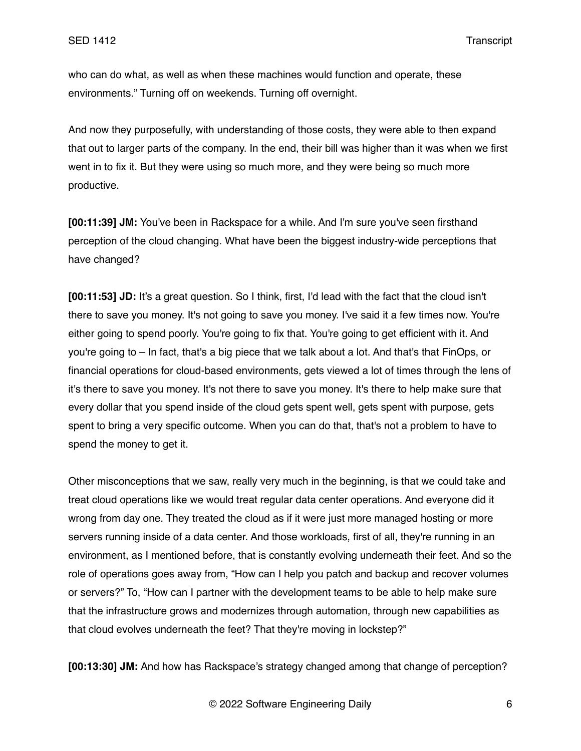who can do what, as well as when these machines would function and operate, these environments." Turning off on weekends. Turning off overnight.

And now they purposefully, with understanding of those costs, they were able to then expand that out to larger parts of the company. In the end, their bill was higher than it was when we first went in to fix it. But they were using so much more, and they were being so much more productive.

**[00:11:39] JM:** You've been in Rackspace for a while. And I'm sure you've seen firsthand perception of the cloud changing. What have been the biggest industry-wide perceptions that have changed?

**[00:11:53] JD:** It's a great question. So I think, first, I'd lead with the fact that the cloud isn't there to save you money. It's not going to save you money. I've said it a few times now. You're either going to spend poorly. You're going to fix that. You're going to get efficient with it. And you're going to – In fact, that's a big piece that we talk about a lot. And that's that FinOps, or financial operations for cloud-based environments, gets viewed a lot of times through the lens of it's there to save you money. It's not there to save you money. It's there to help make sure that every dollar that you spend inside of the cloud gets spent well, gets spent with purpose, gets spent to bring a very specific outcome. When you can do that, that's not a problem to have to spend the money to get it.

Other misconceptions that we saw, really very much in the beginning, is that we could take and treat cloud operations like we would treat regular data center operations. And everyone did it wrong from day one. They treated the cloud as if it were just more managed hosting or more servers running inside of a data center. And those workloads, first of all, they're running in an environment, as I mentioned before, that is constantly evolving underneath their feet. And so the role of operations goes away from, "How can I help you patch and backup and recover volumes or servers?" To, "How can I partner with the development teams to be able to help make sure that the infrastructure grows and modernizes through automation, through new capabilities as that cloud evolves underneath the feet? That they're moving in lockstep?"

**[00:13:30] JM:** And how has Rackspace's strategy changed among that change of perception?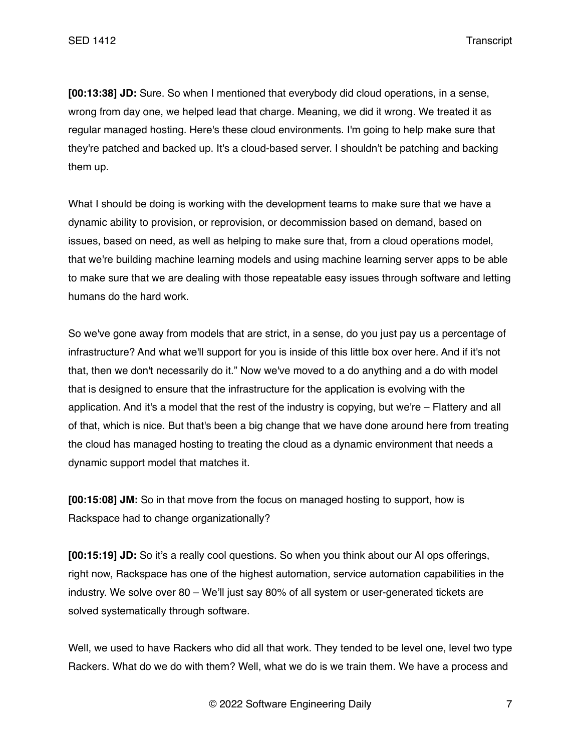**[00:13:38] JD:** Sure. So when I mentioned that everybody did cloud operations, in a sense, wrong from day one, we helped lead that charge. Meaning, we did it wrong. We treated it as regular managed hosting. Here's these cloud environments. I'm going to help make sure that they're patched and backed up. It's a cloud-based server. I shouldn't be patching and backing them up.

What I should be doing is working with the development teams to make sure that we have a dynamic ability to provision, or reprovision, or decommission based on demand, based on issues, based on need, as well as helping to make sure that, from a cloud operations model, that we're building machine learning models and using machine learning server apps to be able to make sure that we are dealing with those repeatable easy issues through software and letting humans do the hard work.

So we've gone away from models that are strict, in a sense, do you just pay us a percentage of infrastructure? And what we'll support for you is inside of this little box over here. And if it's not that, then we don't necessarily do it." Now we've moved to a do anything and a do with model that is designed to ensure that the infrastructure for the application is evolving with the application. And it's a model that the rest of the industry is copying, but we're – Flattery and all of that, which is nice. But that's been a big change that we have done around here from treating the cloud has managed hosting to treating the cloud as a dynamic environment that needs a dynamic support model that matches it.

**[00:15:08] JM:** So in that move from the focus on managed hosting to support, how is Rackspace had to change organizationally?

**[00:15:19] JD:** So it's a really cool questions. So when you think about our AI ops offerings, right now, Rackspace has one of the highest automation, service automation capabilities in the industry. We solve over 80 – We'll just say 80% of all system or user-generated tickets are solved systematically through software.

Well, we used to have Rackers who did all that work. They tended to be level one, level two type Rackers. What do we do with them? Well, what we do is we train them. We have a process and

© 2022 Software Engineering Daily 7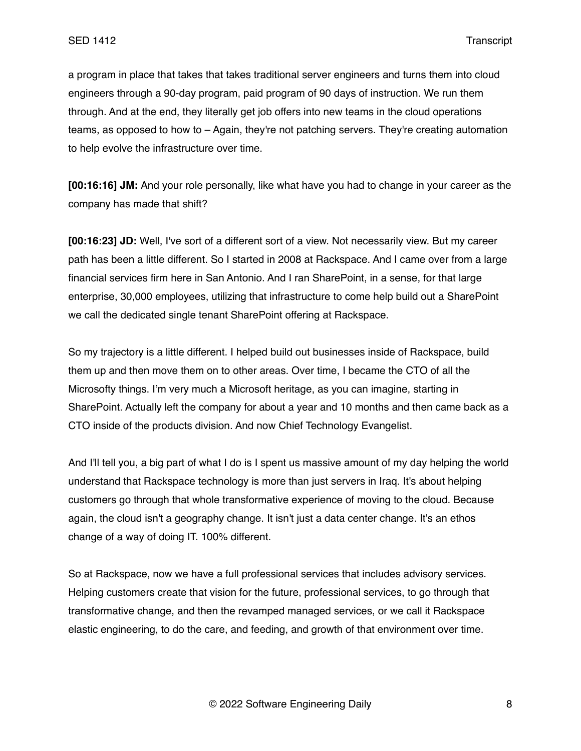a program in place that takes that takes traditional server engineers and turns them into cloud engineers through a 90-day program, paid program of 90 days of instruction. We run them through. And at the end, they literally get job offers into new teams in the cloud operations teams, as opposed to how to – Again, they're not patching servers. They're creating automation to help evolve the infrastructure over time.

**[00:16:16] JM:** And your role personally, like what have you had to change in your career as the company has made that shift?

**[00:16:23] JD:** Well, I've sort of a different sort of a view. Not necessarily view. But my career path has been a little different. So I started in 2008 at Rackspace. And I came over from a large financial services firm here in San Antonio. And I ran SharePoint, in a sense, for that large enterprise, 30,000 employees, utilizing that infrastructure to come help build out a SharePoint we call the dedicated single tenant SharePoint offering at Rackspace.

So my trajectory is a little different. I helped build out businesses inside of Rackspace, build them up and then move them on to other areas. Over time, I became the CTO of all the Microsofty things. I'm very much a Microsoft heritage, as you can imagine, starting in SharePoint. Actually left the company for about a year and 10 months and then came back as a CTO inside of the products division. And now Chief Technology Evangelist.

And I'll tell you, a big part of what I do is I spent us massive amount of my day helping the world understand that Rackspace technology is more than just servers in Iraq. It's about helping customers go through that whole transformative experience of moving to the cloud. Because again, the cloud isn't a geography change. It isn't just a data center change. It's an ethos change of a way of doing IT. 100% different.

So at Rackspace, now we have a full professional services that includes advisory services. Helping customers create that vision for the future, professional services, to go through that transformative change, and then the revamped managed services, or we call it Rackspace elastic engineering, to do the care, and feeding, and growth of that environment over time.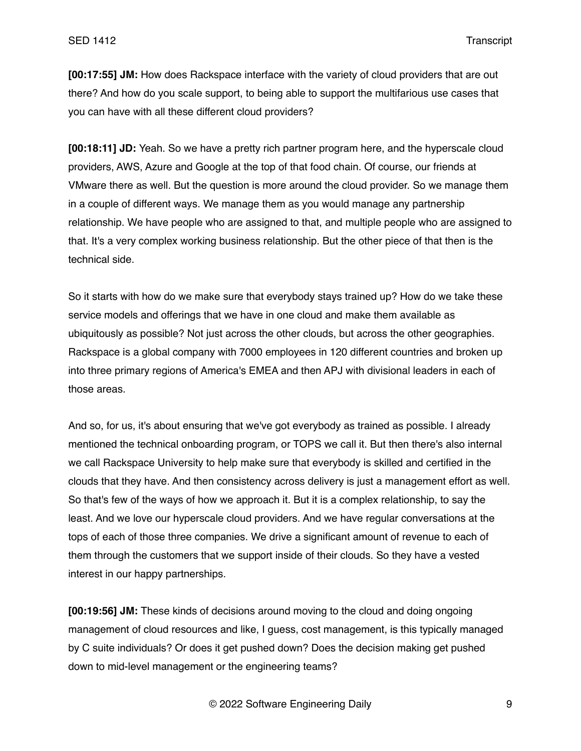**[00:17:55] JM:** How does Rackspace interface with the variety of cloud providers that are out there? And how do you scale support, to being able to support the multifarious use cases that you can have with all these different cloud providers?

**[00:18:11] JD:** Yeah. So we have a pretty rich partner program here, and the hyperscale cloud providers, AWS, Azure and Google at the top of that food chain. Of course, our friends at VMware there as well. But the question is more around the cloud provider. So we manage them in a couple of different ways. We manage them as you would manage any partnership relationship. We have people who are assigned to that, and multiple people who are assigned to that. It's a very complex working business relationship. But the other piece of that then is the technical side.

So it starts with how do we make sure that everybody stays trained up? How do we take these service models and offerings that we have in one cloud and make them available as ubiquitously as possible? Not just across the other clouds, but across the other geographies. Rackspace is a global company with 7000 employees in 120 different countries and broken up into three primary regions of America's EMEA and then APJ with divisional leaders in each of those areas.

And so, for us, it's about ensuring that we've got everybody as trained as possible. I already mentioned the technical onboarding program, or TOPS we call it. But then there's also internal we call Rackspace University to help make sure that everybody is skilled and certified in the clouds that they have. And then consistency across delivery is just a management effort as well. So that's few of the ways of how we approach it. But it is a complex relationship, to say the least. And we love our hyperscale cloud providers. And we have regular conversations at the tops of each of those three companies. We drive a significant amount of revenue to each of them through the customers that we support inside of their clouds. So they have a vested interest in our happy partnerships.

**[00:19:56] JM:** These kinds of decisions around moving to the cloud and doing ongoing management of cloud resources and like, I guess, cost management, is this typically managed by C suite individuals? Or does it get pushed down? Does the decision making get pushed down to mid-level management or the engineering teams?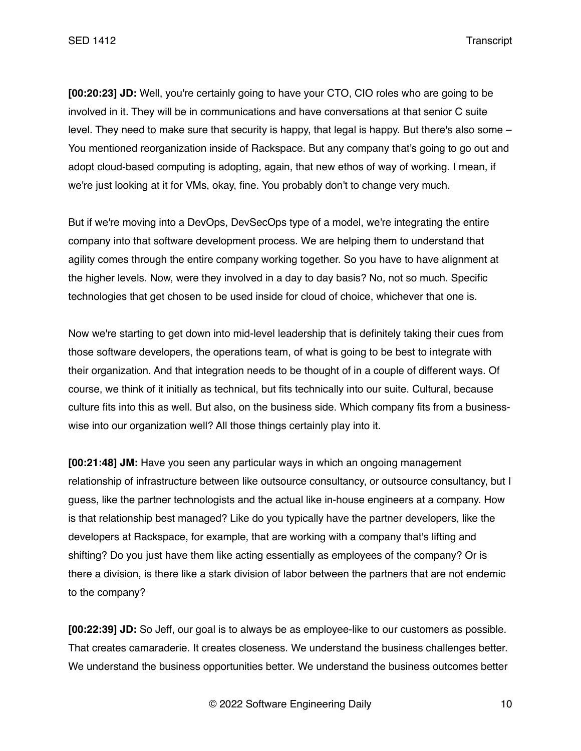**[00:20:23] JD:** Well, you're certainly going to have your CTO, CIO roles who are going to be involved in it. They will be in communications and have conversations at that senior C suite level. They need to make sure that security is happy, that legal is happy. But there's also some – You mentioned reorganization inside of Rackspace. But any company that's going to go out and adopt cloud-based computing is adopting, again, that new ethos of way of working. I mean, if we're just looking at it for VMs, okay, fine. You probably don't to change very much.

But if we're moving into a DevOps, DevSecOps type of a model, we're integrating the entire company into that software development process. We are helping them to understand that agility comes through the entire company working together. So you have to have alignment at the higher levels. Now, were they involved in a day to day basis? No, not so much. Specific technologies that get chosen to be used inside for cloud of choice, whichever that one is.

Now we're starting to get down into mid-level leadership that is definitely taking their cues from those software developers, the operations team, of what is going to be best to integrate with their organization. And that integration needs to be thought of in a couple of different ways. Of course, we think of it initially as technical, but fits technically into our suite. Cultural, because culture fits into this as well. But also, on the business side. Which company fits from a businesswise into our organization well? All those things certainly play into it.

**[00:21:48] JM:** Have you seen any particular ways in which an ongoing management relationship of infrastructure between like outsource consultancy, or outsource consultancy, but I guess, like the partner technologists and the actual like in-house engineers at a company. How is that relationship best managed? Like do you typically have the partner developers, like the developers at Rackspace, for example, that are working with a company that's lifting and shifting? Do you just have them like acting essentially as employees of the company? Or is there a division, is there like a stark division of labor between the partners that are not endemic to the company?

**[00:22:39] JD:** So Jeff, our goal is to always be as employee-like to our customers as possible. That creates camaraderie. It creates closeness. We understand the business challenges better. We understand the business opportunities better. We understand the business outcomes better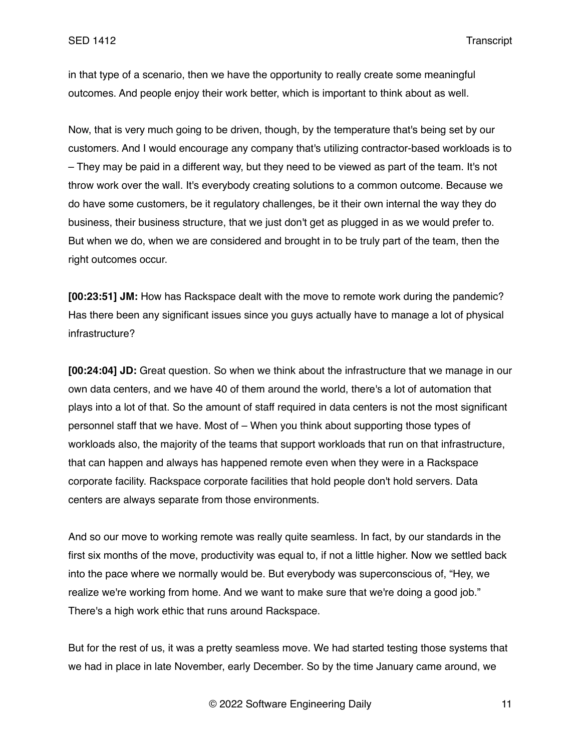in that type of a scenario, then we have the opportunity to really create some meaningful outcomes. And people enjoy their work better, which is important to think about as well.

Now, that is very much going to be driven, though, by the temperature that's being set by our customers. And I would encourage any company that's utilizing contractor-based workloads is to – They may be paid in a different way, but they need to be viewed as part of the team. It's not throw work over the wall. It's everybody creating solutions to a common outcome. Because we do have some customers, be it regulatory challenges, be it their own internal the way they do business, their business structure, that we just don't get as plugged in as we would prefer to. But when we do, when we are considered and brought in to be truly part of the team, then the right outcomes occur.

**[00:23:51] JM:** How has Rackspace dealt with the move to remote work during the pandemic? Has there been any significant issues since you guys actually have to manage a lot of physical infrastructure?

**[00:24:04] JD:** Great question. So when we think about the infrastructure that we manage in our own data centers, and we have 40 of them around the world, there's a lot of automation that plays into a lot of that. So the amount of staff required in data centers is not the most significant personnel staff that we have. Most of – When you think about supporting those types of workloads also, the majority of the teams that support workloads that run on that infrastructure, that can happen and always has happened remote even when they were in a Rackspace corporate facility. Rackspace corporate facilities that hold people don't hold servers. Data centers are always separate from those environments.

And so our move to working remote was really quite seamless. In fact, by our standards in the first six months of the move, productivity was equal to, if not a little higher. Now we settled back into the pace where we normally would be. But everybody was superconscious of, "Hey, we realize we're working from home. And we want to make sure that we're doing a good job." There's a high work ethic that runs around Rackspace.

But for the rest of us, it was a pretty seamless move. We had started testing those systems that we had in place in late November, early December. So by the time January came around, we

© 2022 Software Engineering Daily 11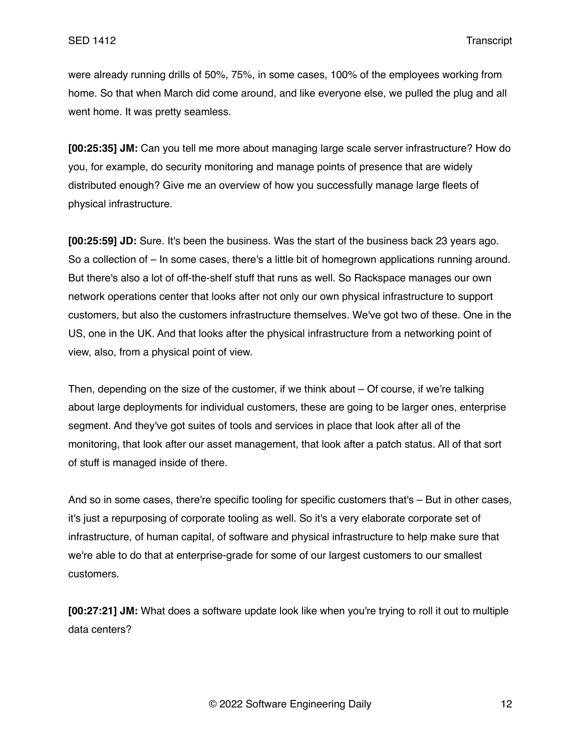were already running drills of 50%, 75%, in some cases, 100% of the employees working from home. So that when March did come around, and like everyone else, we pulled the plug and all went home. It was pretty seamless.

**[00:25:35] JM:** Can you tell me more about managing large scale server infrastructure? How do you, for example, do security monitoring and manage points of presence that are widely distributed enough? Give me an overview of how you successfully manage large fleets of physical infrastructure.

**[00:25:59] JD:** Sure. It's been the business. Was the start of the business back 23 years ago. So a collection of – In some cases, there's a little bit of homegrown applications running around. But there's also a lot of off-the-shelf stuff that runs as well. So Rackspace manages our own network operations center that looks after not only our own physical infrastructure to support customers, but also the customers infrastructure themselves. We've got two of these. One in the US, one in the UK. And that looks after the physical infrastructure from a networking point of view, also, from a physical point of view.

Then, depending on the size of the customer, if we think about – Of course, if we're talking about large deployments for individual customers, these are going to be larger ones, enterprise segment. And they've got suites of tools and services in place that look after all of the monitoring, that look after our asset management, that look after a patch status. All of that sort of stuff is managed inside of there.

And so in some cases, there're specific tooling for specific customers that's – But in other cases, it's just a repurposing of corporate tooling as well. So it's a very elaborate corporate set of infrastructure, of human capital, of software and physical infrastructure to help make sure that we're able to do that at enterprise-grade for some of our largest customers to our smallest customers.

**[00:27:21] JM:** What does a software update look like when you're trying to roll it out to multiple data centers?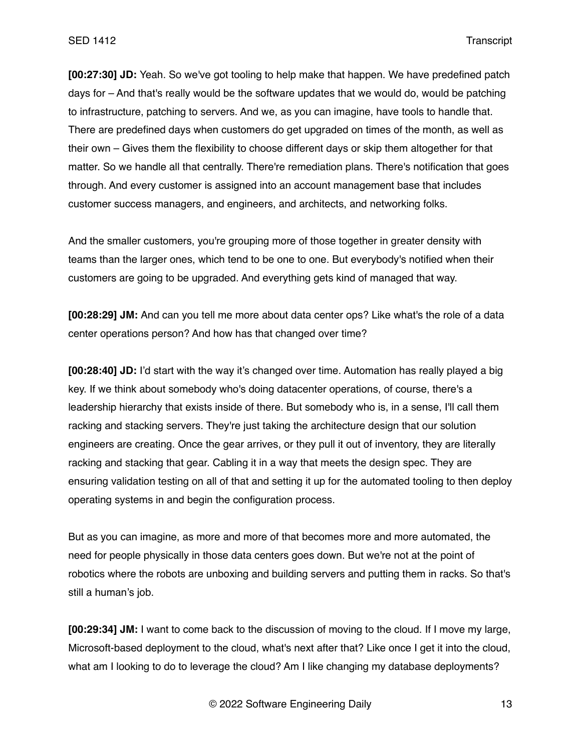**[00:27:30] JD:** Yeah. So we've got tooling to help make that happen. We have predefined patch days for – And that's really would be the software updates that we would do, would be patching to infrastructure, patching to servers. And we, as you can imagine, have tools to handle that. There are predefined days when customers do get upgraded on times of the month, as well as their own – Gives them the flexibility to choose different days or skip them altogether for that matter. So we handle all that centrally. There're remediation plans. There's notification that goes through. And every customer is assigned into an account management base that includes customer success managers, and engineers, and architects, and networking folks.

And the smaller customers, you're grouping more of those together in greater density with teams than the larger ones, which tend to be one to one. But everybody's notified when their customers are going to be upgraded. And everything gets kind of managed that way.

**[00:28:29] JM:** And can you tell me more about data center ops? Like what's the role of a data center operations person? And how has that changed over time?

**[00:28:40] JD:** I'd start with the way it's changed over time. Automation has really played a big key. If we think about somebody who's doing datacenter operations, of course, there's a leadership hierarchy that exists inside of there. But somebody who is, in a sense, I'll call them racking and stacking servers. They're just taking the architecture design that our solution engineers are creating. Once the gear arrives, or they pull it out of inventory, they are literally racking and stacking that gear. Cabling it in a way that meets the design spec. They are ensuring validation testing on all of that and setting it up for the automated tooling to then deploy operating systems in and begin the configuration process.

But as you can imagine, as more and more of that becomes more and more automated, the need for people physically in those data centers goes down. But we're not at the point of robotics where the robots are unboxing and building servers and putting them in racks. So that's still a human's job.

**[00:29:34] JM:** I want to come back to the discussion of moving to the cloud. If I move my large, Microsoft-based deployment to the cloud, what's next after that? Like once I get it into the cloud, what am I looking to do to leverage the cloud? Am I like changing my database deployments?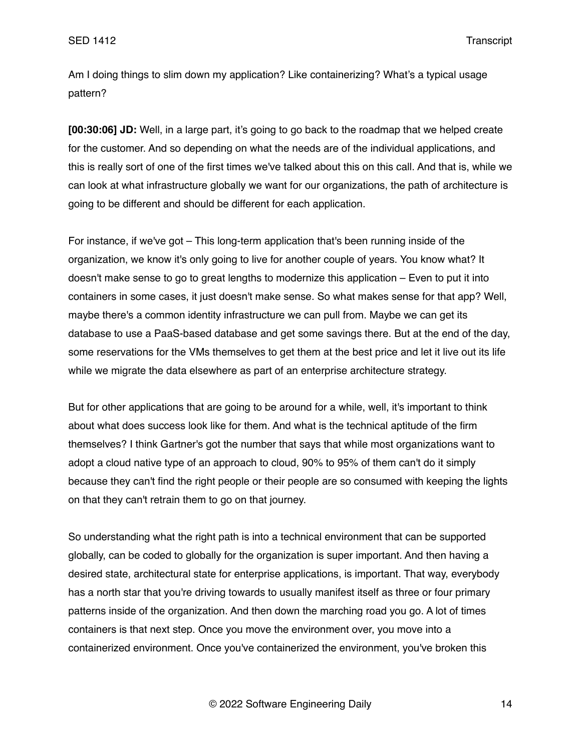Am I doing things to slim down my application? Like containerizing? What's a typical usage pattern?

**[00:30:06] JD:** Well, in a large part, it's going to go back to the roadmap that we helped create for the customer. And so depending on what the needs are of the individual applications, and this is really sort of one of the first times we've talked about this on this call. And that is, while we can look at what infrastructure globally we want for our organizations, the path of architecture is going to be different and should be different for each application.

For instance, if we've got – This long-term application that's been running inside of the organization, we know it's only going to live for another couple of years. You know what? It doesn't make sense to go to great lengths to modernize this application – Even to put it into containers in some cases, it just doesn't make sense. So what makes sense for that app? Well, maybe there's a common identity infrastructure we can pull from. Maybe we can get its database to use a PaaS-based database and get some savings there. But at the end of the day, some reservations for the VMs themselves to get them at the best price and let it live out its life while we migrate the data elsewhere as part of an enterprise architecture strategy.

But for other applications that are going to be around for a while, well, it's important to think about what does success look like for them. And what is the technical aptitude of the firm themselves? I think Gartner's got the number that says that while most organizations want to adopt a cloud native type of an approach to cloud, 90% to 95% of them can't do it simply because they can't find the right people or their people are so consumed with keeping the lights on that they can't retrain them to go on that journey.

So understanding what the right path is into a technical environment that can be supported globally, can be coded to globally for the organization is super important. And then having a desired state, architectural state for enterprise applications, is important. That way, everybody has a north star that you're driving towards to usually manifest itself as three or four primary patterns inside of the organization. And then down the marching road you go. A lot of times containers is that next step. Once you move the environment over, you move into a containerized environment. Once you've containerized the environment, you've broken this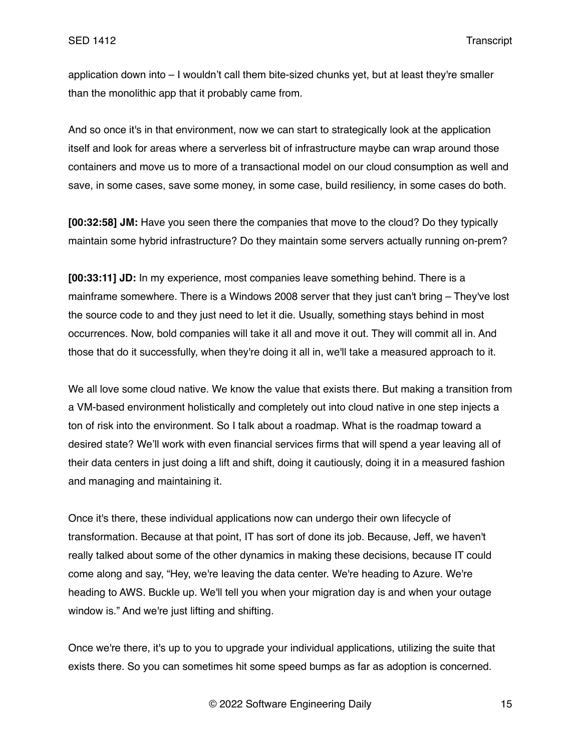application down into – I wouldn't call them bite-sized chunks yet, but at least they're smaller than the monolithic app that it probably came from.

And so once it's in that environment, now we can start to strategically look at the application itself and look for areas where a serverless bit of infrastructure maybe can wrap around those containers and move us to more of a transactional model on our cloud consumption as well and save, in some cases, save some money, in some case, build resiliency, in some cases do both.

**[00:32:58] JM:** Have you seen there the companies that move to the cloud? Do they typically maintain some hybrid infrastructure? Do they maintain some servers actually running on-prem?

**[00:33:11] JD:** In my experience, most companies leave something behind. There is a mainframe somewhere. There is a Windows 2008 server that they just can't bring – They've lost the source code to and they just need to let it die. Usually, something stays behind in most occurrences. Now, bold companies will take it all and move it out. They will commit all in. And those that do it successfully, when they're doing it all in, we'll take a measured approach to it.

We all love some cloud native. We know the value that exists there. But making a transition from a VM-based environment holistically and completely out into cloud native in one step injects a ton of risk into the environment. So I talk about a roadmap. What is the roadmap toward a desired state? We'll work with even financial services firms that will spend a year leaving all of their data centers in just doing a lift and shift, doing it cautiously, doing it in a measured fashion and managing and maintaining it.

Once it's there, these individual applications now can undergo their own lifecycle of transformation. Because at that point, IT has sort of done its job. Because, Jeff, we haven't really talked about some of the other dynamics in making these decisions, because IT could come along and say, "Hey, we're leaving the data center. We're heading to Azure. We're heading to AWS. Buckle up. We'll tell you when your migration day is and when your outage window is." And we're just lifting and shifting.

Once we're there, it's up to you to upgrade your individual applications, utilizing the suite that exists there. So you can sometimes hit some speed bumps as far as adoption is concerned.

© 2022 Software Engineering Daily 15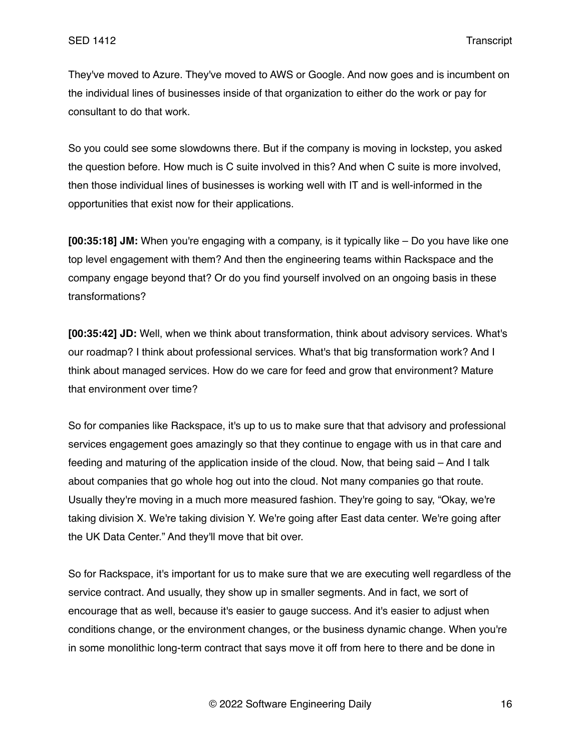They've moved to Azure. They've moved to AWS or Google. And now goes and is incumbent on the individual lines of businesses inside of that organization to either do the work or pay for consultant to do that work.

So you could see some slowdowns there. But if the company is moving in lockstep, you asked the question before. How much is C suite involved in this? And when C suite is more involved, then those individual lines of businesses is working well with IT and is well-informed in the opportunities that exist now for their applications.

**[00:35:18] JM:** When you're engaging with a company, is it typically like – Do you have like one top level engagement with them? And then the engineering teams within Rackspace and the company engage beyond that? Or do you find yourself involved on an ongoing basis in these transformations?

**[00:35:42] JD:** Well, when we think about transformation, think about advisory services. What's our roadmap? I think about professional services. What's that big transformation work? And I think about managed services. How do we care for feed and grow that environment? Mature that environment over time?

So for companies like Rackspace, it's up to us to make sure that that advisory and professional services engagement goes amazingly so that they continue to engage with us in that care and feeding and maturing of the application inside of the cloud. Now, that being said – And I talk about companies that go whole hog out into the cloud. Not many companies go that route. Usually they're moving in a much more measured fashion. They're going to say, "Okay, we're taking division X. We're taking division Y. We're going after East data center. We're going after the UK Data Center." And they'll move that bit over.

So for Rackspace, it's important for us to make sure that we are executing well regardless of the service contract. And usually, they show up in smaller segments. And in fact, we sort of encourage that as well, because it's easier to gauge success. And it's easier to adjust when conditions change, or the environment changes, or the business dynamic change. When you're in some monolithic long-term contract that says move it off from here to there and be done in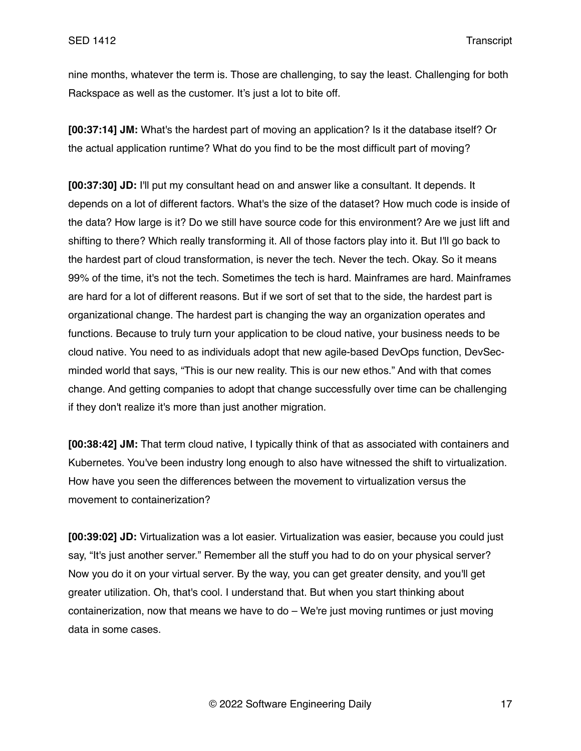nine months, whatever the term is. Those are challenging, to say the least. Challenging for both Rackspace as well as the customer. It's just a lot to bite off.

**[00:37:14] JM:** What's the hardest part of moving an application? Is it the database itself? Or the actual application runtime? What do you find to be the most difficult part of moving?

**[00:37:30] JD:** I'll put my consultant head on and answer like a consultant. It depends. It depends on a lot of different factors. What's the size of the dataset? How much code is inside of the data? How large is it? Do we still have source code for this environment? Are we just lift and shifting to there? Which really transforming it. All of those factors play into it. But I'll go back to the hardest part of cloud transformation, is never the tech. Never the tech. Okay. So it means 99% of the time, it's not the tech. Sometimes the tech is hard. Mainframes are hard. Mainframes are hard for a lot of different reasons. But if we sort of set that to the side, the hardest part is organizational change. The hardest part is changing the way an organization operates and functions. Because to truly turn your application to be cloud native, your business needs to be cloud native. You need to as individuals adopt that new agile-based DevOps function, DevSecminded world that says, "This is our new reality. This is our new ethos." And with that comes change. And getting companies to adopt that change successfully over time can be challenging if they don't realize it's more than just another migration.

**[00:38:42] JM:** That term cloud native, I typically think of that as associated with containers and Kubernetes. You've been industry long enough to also have witnessed the shift to virtualization. How have you seen the differences between the movement to virtualization versus the movement to containerization?

**[00:39:02] JD:** Virtualization was a lot easier. Virtualization was easier, because you could just say, "It's just another server." Remember all the stuff you had to do on your physical server? Now you do it on your virtual server. By the way, you can get greater density, and you'll get greater utilization. Oh, that's cool. I understand that. But when you start thinking about containerization, now that means we have to do – We're just moving runtimes or just moving data in some cases.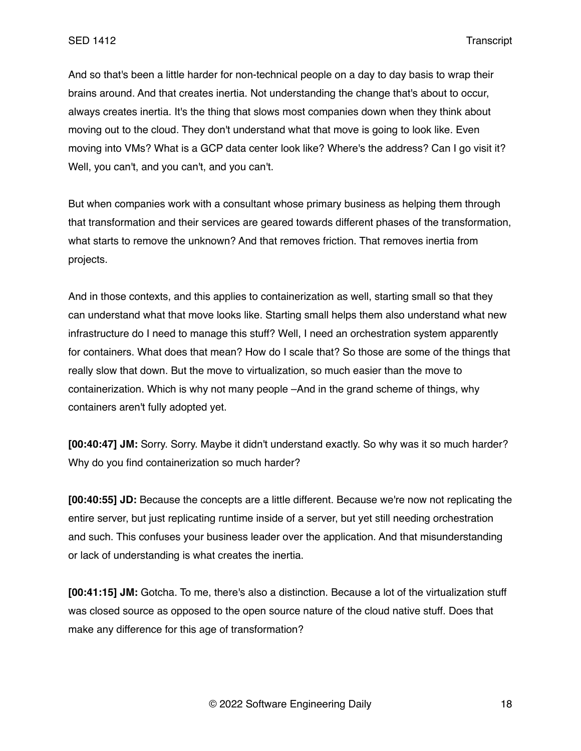And so that's been a little harder for non-technical people on a day to day basis to wrap their brains around. And that creates inertia. Not understanding the change that's about to occur, always creates inertia. It's the thing that slows most companies down when they think about moving out to the cloud. They don't understand what that move is going to look like. Even moving into VMs? What is a GCP data center look like? Where's the address? Can I go visit it? Well, you can't, and you can't, and you can't.

But when companies work with a consultant whose primary business as helping them through that transformation and their services are geared towards different phases of the transformation, what starts to remove the unknown? And that removes friction. That removes inertia from projects.

And in those contexts, and this applies to containerization as well, starting small so that they can understand what that move looks like. Starting small helps them also understand what new infrastructure do I need to manage this stuff? Well, I need an orchestration system apparently for containers. What does that mean? How do I scale that? So those are some of the things that really slow that down. But the move to virtualization, so much easier than the move to containerization. Which is why not many people –And in the grand scheme of things, why containers aren't fully adopted yet.

**[00:40:47] JM:** Sorry. Sorry. Maybe it didn't understand exactly. So why was it so much harder? Why do you find containerization so much harder?

**[00:40:55] JD:** Because the concepts are a little different. Because we're now not replicating the entire server, but just replicating runtime inside of a server, but yet still needing orchestration and such. This confuses your business leader over the application. And that misunderstanding or lack of understanding is what creates the inertia.

**[00:41:15] JM:** Gotcha. To me, there's also a distinction. Because a lot of the virtualization stuff was closed source as opposed to the open source nature of the cloud native stuff. Does that make any difference for this age of transformation?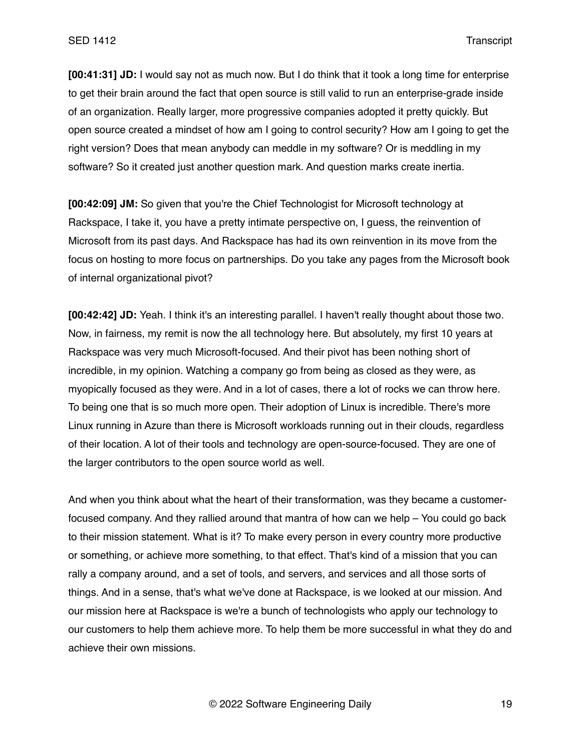**[00:41:31] JD:** I would say not as much now. But I do think that it took a long time for enterprise to get their brain around the fact that open source is still valid to run an enterprise-grade inside of an organization. Really larger, more progressive companies adopted it pretty quickly. But open source created a mindset of how am I going to control security? How am I going to get the right version? Does that mean anybody can meddle in my software? Or is meddling in my software? So it created just another question mark. And question marks create inertia.

**[00:42:09] JM:** So given that you're the Chief Technologist for Microsoft technology at Rackspace, I take it, you have a pretty intimate perspective on, I guess, the reinvention of Microsoft from its past days. And Rackspace has had its own reinvention in its move from the focus on hosting to more focus on partnerships. Do you take any pages from the Microsoft book of internal organizational pivot?

**[00:42:42] JD:** Yeah. I think it's an interesting parallel. I haven't really thought about those two. Now, in fairness, my remit is now the all technology here. But absolutely, my first 10 years at Rackspace was very much Microsoft-focused. And their pivot has been nothing short of incredible, in my opinion. Watching a company go from being as closed as they were, as myopically focused as they were. And in a lot of cases, there a lot of rocks we can throw here. To being one that is so much more open. Their adoption of Linux is incredible. There's more Linux running in Azure than there is Microsoft workloads running out in their clouds, regardless of their location. A lot of their tools and technology are open-source-focused. They are one of the larger contributors to the open source world as well.

And when you think about what the heart of their transformation, was they became a customerfocused company. And they rallied around that mantra of how can we help – You could go back to their mission statement. What is it? To make every person in every country more productive or something, or achieve more something, to that effect. That's kind of a mission that you can rally a company around, and a set of tools, and servers, and services and all those sorts of things. And in a sense, that's what we've done at Rackspace, is we looked at our mission. And our mission here at Rackspace is we're a bunch of technologists who apply our technology to our customers to help them achieve more. To help them be more successful in what they do and achieve their own missions.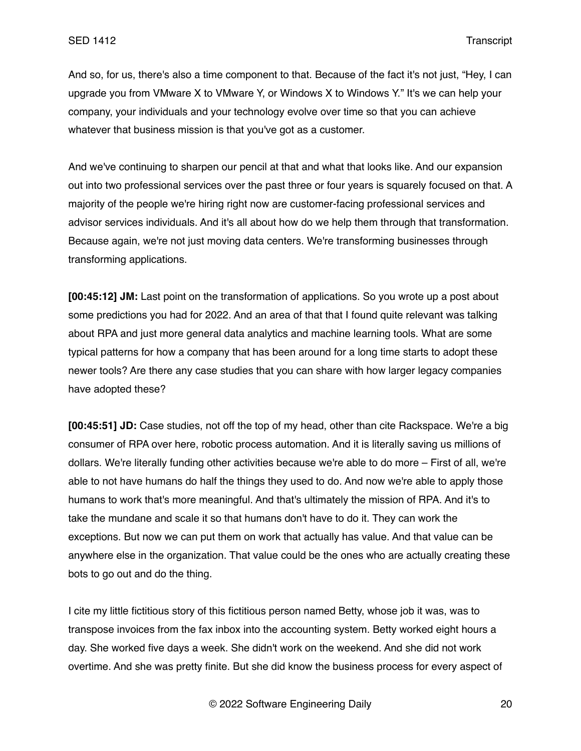And so, for us, there's also a time component to that. Because of the fact it's not just, "Hey, I can upgrade you from VMware X to VMware Y, or Windows X to Windows Y." It's we can help your company, your individuals and your technology evolve over time so that you can achieve whatever that business mission is that you've got as a customer.

And we've continuing to sharpen our pencil at that and what that looks like. And our expansion out into two professional services over the past three or four years is squarely focused on that. A majority of the people we're hiring right now are customer-facing professional services and advisor services individuals. And it's all about how do we help them through that transformation. Because again, we're not just moving data centers. We're transforming businesses through transforming applications.

**[00:45:12] JM:** Last point on the transformation of applications. So you wrote up a post about some predictions you had for 2022. And an area of that that I found quite relevant was talking about RPA and just more general data analytics and machine learning tools. What are some typical patterns for how a company that has been around for a long time starts to adopt these newer tools? Are there any case studies that you can share with how larger legacy companies have adopted these?

**[00:45:51] JD:** Case studies, not off the top of my head, other than cite Rackspace. We're a big consumer of RPA over here, robotic process automation. And it is literally saving us millions of dollars. We're literally funding other activities because we're able to do more – First of all, we're able to not have humans do half the things they used to do. And now we're able to apply those humans to work that's more meaningful. And that's ultimately the mission of RPA. And it's to take the mundane and scale it so that humans don't have to do it. They can work the exceptions. But now we can put them on work that actually has value. And that value can be anywhere else in the organization. That value could be the ones who are actually creating these bots to go out and do the thing.

I cite my little fictitious story of this fictitious person named Betty, whose job it was, was to transpose invoices from the fax inbox into the accounting system. Betty worked eight hours a day. She worked five days a week. She didn't work on the weekend. And she did not work overtime. And she was pretty finite. But she did know the business process for every aspect of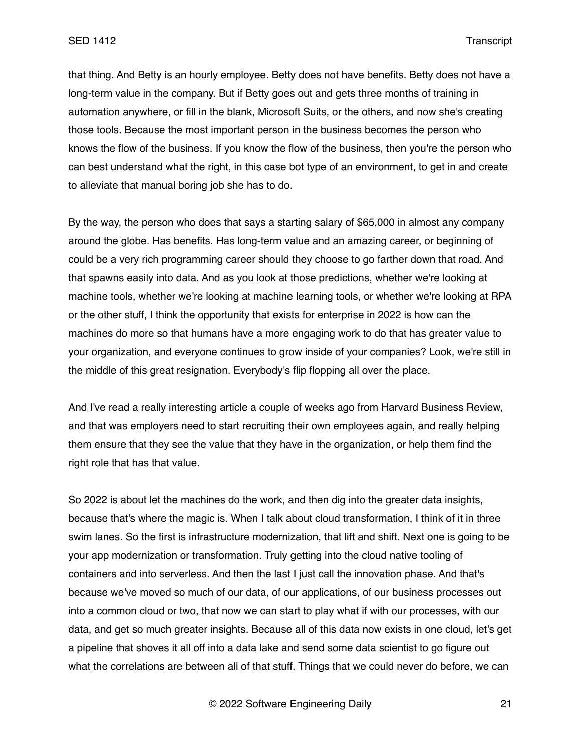that thing. And Betty is an hourly employee. Betty does not have benefits. Betty does not have a long-term value in the company. But if Betty goes out and gets three months of training in automation anywhere, or fill in the blank, Microsoft Suits, or the others, and now she's creating those tools. Because the most important person in the business becomes the person who knows the flow of the business. If you know the flow of the business, then you're the person who can best understand what the right, in this case bot type of an environment, to get in and create to alleviate that manual boring job she has to do.

By the way, the person who does that says a starting salary of \$65,000 in almost any company around the globe. Has benefits. Has long-term value and an amazing career, or beginning of could be a very rich programming career should they choose to go farther down that road. And that spawns easily into data. And as you look at those predictions, whether we're looking at machine tools, whether we're looking at machine learning tools, or whether we're looking at RPA or the other stuff, I think the opportunity that exists for enterprise in 2022 is how can the machines do more so that humans have a more engaging work to do that has greater value to your organization, and everyone continues to grow inside of your companies? Look, we're still in the middle of this great resignation. Everybody's flip flopping all over the place.

And I've read a really interesting article a couple of weeks ago from Harvard Business Review, and that was employers need to start recruiting their own employees again, and really helping them ensure that they see the value that they have in the organization, or help them find the right role that has that value.

So 2022 is about let the machines do the work, and then dig into the greater data insights, because that's where the magic is. When I talk about cloud transformation, I think of it in three swim lanes. So the first is infrastructure modernization, that lift and shift. Next one is going to be your app modernization or transformation. Truly getting into the cloud native tooling of containers and into serverless. And then the last I just call the innovation phase. And that's because we've moved so much of our data, of our applications, of our business processes out into a common cloud or two, that now we can start to play what if with our processes, with our data, and get so much greater insights. Because all of this data now exists in one cloud, let's get a pipeline that shoves it all off into a data lake and send some data scientist to go figure out what the correlations are between all of that stuff. Things that we could never do before, we can